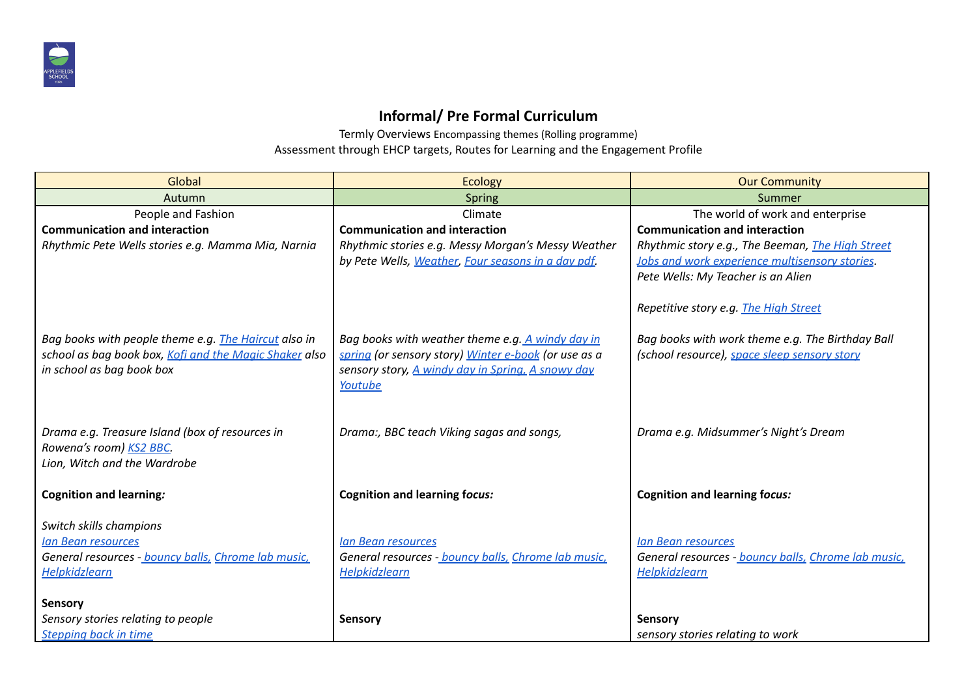

## **Informal/ Pre Formal Curriculum**

Termly Overviews Encompassing themes (Rolling programme) Assessment through EHCP targets, Routes for Learning and the Engagement Profile

| Global                                                                                                                                      | <b>Ecology</b>                                                                                                                                                           | <b>Our Community</b>                                                                                     |  |  |
|---------------------------------------------------------------------------------------------------------------------------------------------|--------------------------------------------------------------------------------------------------------------------------------------------------------------------------|----------------------------------------------------------------------------------------------------------|--|--|
| Autumn                                                                                                                                      | <b>Spring</b>                                                                                                                                                            | Summer                                                                                                   |  |  |
| People and Fashion                                                                                                                          | Climate                                                                                                                                                                  | The world of work and enterprise                                                                         |  |  |
| <b>Communication and interaction</b>                                                                                                        | <b>Communication and interaction</b>                                                                                                                                     | <b>Communication and interaction</b>                                                                     |  |  |
| Rhythmic Pete Wells stories e.g. Mamma Mia, Narnia                                                                                          | Rhythmic stories e.g. Messy Morgan's Messy Weather                                                                                                                       | Rhythmic story e.g., The Beeman, The High Street                                                         |  |  |
|                                                                                                                                             | by Pete Wells, Weather, Four seasons in a day pdf.                                                                                                                       | Jobs and work experience multisensory stories.                                                           |  |  |
|                                                                                                                                             |                                                                                                                                                                          | Pete Wells: My Teacher is an Alien                                                                       |  |  |
|                                                                                                                                             |                                                                                                                                                                          | Repetitive story e.g. The High Street                                                                    |  |  |
| Bag books with people theme e.g. The Haircut also in<br>school as bag book box, Kofi and the Magic Shaker also<br>in school as bag book box | Bag books with weather theme e.g. A windy day in<br>spring (or sensory story) Winter e-book (or use as a<br>sensory story, A windy day in Spring, A snowy day<br>Youtube | Bag books with work theme e.g. The Birthday Ball<br>(school resource), space sleep sensory story         |  |  |
| Drama e.g. Treasure Island (box of resources in<br>Rowena's room) KS2 BBC.<br>Lion, Witch and the Wardrobe                                  | Drama:, BBC teach Viking sagas and songs,                                                                                                                                | Drama e.g. Midsummer's Night's Dream                                                                     |  |  |
| <b>Cognition and learning:</b>                                                                                                              | <b>Cognition and learning focus:</b>                                                                                                                                     | <b>Cognition and learning focus:</b>                                                                     |  |  |
| Switch skills champions<br><b>Ian Bean resources</b><br>General resources - bouncy balls, Chrome lab music,<br><b>Helpkidzlearn</b>         | <b>Ian Bean resources</b><br>General resources - bouncy balls, Chrome lab music,<br>Helpkidzlearn                                                                        | <b>Ian Bean resources</b><br>General resources - bouncy balls, Chrome lab music,<br><b>Helpkidzlearn</b> |  |  |
| <b>Sensory</b>                                                                                                                              |                                                                                                                                                                          |                                                                                                          |  |  |
| Sensory stories relating to people                                                                                                          | Sensory                                                                                                                                                                  | Sensory                                                                                                  |  |  |
| <b>Stepping back in time</b>                                                                                                                |                                                                                                                                                                          | sensory stories relating to work                                                                         |  |  |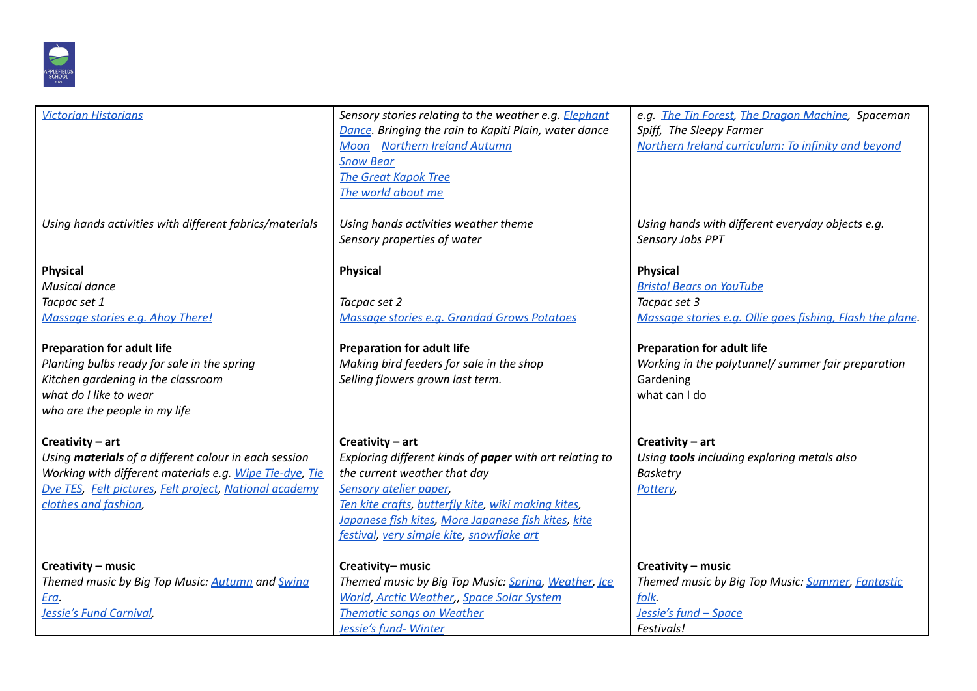

| <b>Victorian Historians</b>                                                                                                                                                                                                                                                      | Sensory stories relating to the weather e.g. Elephant<br>Dance. Bringing the rain to Kapiti Plain, water dance<br>Moon Northern Ireland Autumn<br><b>Snow Bear</b><br><b>The Great Kapok Tree</b><br>The world about me                                                                                 | e.g. The Tin Forest, The Dragon Machine, Spaceman<br>Spiff, The Sleepy Farmer<br>Northern Ireland curriculum: To infinity and beyond                                                                                                                     |  |  |
|----------------------------------------------------------------------------------------------------------------------------------------------------------------------------------------------------------------------------------------------------------------------------------|---------------------------------------------------------------------------------------------------------------------------------------------------------------------------------------------------------------------------------------------------------------------------------------------------------|----------------------------------------------------------------------------------------------------------------------------------------------------------------------------------------------------------------------------------------------------------|--|--|
| Using hands activities with different fabrics/materials                                                                                                                                                                                                                          | Using hands activities weather theme<br>Sensory properties of water                                                                                                                                                                                                                                     | Using hands with different everyday objects e.g.<br>Sensory Jobs PPT                                                                                                                                                                                     |  |  |
| <b>Physical</b><br><b>Musical dance</b><br>Tacpac set 1<br>Massage stories e.g. Ahoy There!<br><b>Preparation for adult life</b><br>Planting bulbs ready for sale in the spring<br>Kitchen gardening in the classroom<br>what do I like to wear<br>who are the people in my life | <b>Physical</b><br>Tacpac set 2<br>Massage stories e.g. Grandad Grows Potatoes<br><b>Preparation for adult life</b><br>Making bird feeders for sale in the shop<br>Selling flowers grown last term.                                                                                                     | <b>Physical</b><br><b>Bristol Bears on YouTube</b><br>Tacpac set 3<br>Massage stories e.g. Ollie goes fishing, Flash the plane.<br><b>Preparation for adult life</b><br>Working in the polytunnel/ summer fair preparation<br>Gardening<br>what can I do |  |  |
| Creativity - art<br>Using materials of a different colour in each session<br>Working with different materials e.g. Wipe Tie-dye, Tie<br>Dye TES, Felt pictures, Felt project, National academy<br>clothes and fashion,                                                           | Creativity - art<br>Exploring different kinds of paper with art relating to<br>the current weather that day<br><b>Sensory atelier paper,</b><br>Ten kite crafts, butterfly kite, wiki making kites,<br>Japanese fish kites, More Japanese fish kites, kite<br>festival, very simple kite, snowflake art | Creativity - art<br>Using tools including exploring metals also<br><b>Basketry</b><br>Pottery,                                                                                                                                                           |  |  |
| Creativity - music<br>Themed music by Big Top Music: Autumn and Swing<br>Era.<br>Jessie's Fund Carnival,                                                                                                                                                                         | Creativity- music<br>Themed music by Big Top Music: Spring, Weather, Ice<br><b>World, Arctic Weather,, Space Solar System</b><br><b>Thematic songs on Weather</b><br>Jessie's fund- Winter                                                                                                              | Creativity - music<br>Themed music by Big Top Music: Summer, Fantastic<br>folk.<br>Jessie's fund - Space<br>Festivals!                                                                                                                                   |  |  |